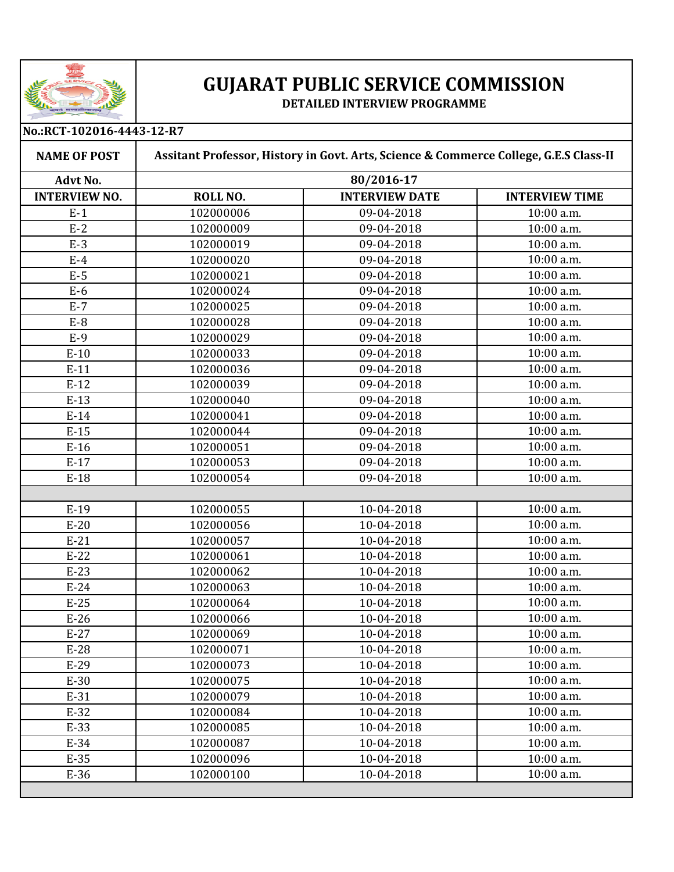

## **GUJARAT PUBLIC SERVICE COMMISSION**

## **DETAILED INTERVIEW PROGRAMME**

**No.:RCT-102016-4443-12-R7**

| <b>NAME OF POST</b>  | Assitant Professor, History in Govt. Arts, Science & Commerce College, G.E.S Class-II |                       |                       |
|----------------------|---------------------------------------------------------------------------------------|-----------------------|-----------------------|
| Advt No.             | 80/2016-17                                                                            |                       |                       |
| <b>INTERVIEW NO.</b> | ROLL NO.                                                                              | <b>INTERVIEW DATE</b> | <b>INTERVIEW TIME</b> |
| $E-1$                | 102000006                                                                             | 09-04-2018            | 10:00 a.m.            |
| $E-2$                | 102000009                                                                             | 09-04-2018            | 10:00 a.m.            |
| $E-3$                | 102000019                                                                             | 09-04-2018            | 10:00 a.m.            |
| $E-4$                | 102000020                                                                             | 09-04-2018            | $10:00$ a.m.          |
| $E-5$                | 102000021                                                                             | 09-04-2018            | 10:00 a.m.            |
| $E-6$                | 102000024                                                                             | 09-04-2018            | 10:00 a.m.            |
| $E-7$                | 102000025                                                                             | 09-04-2018            | 10:00 a.m.            |
| $E-8$                | 102000028                                                                             | 09-04-2018            | 10:00 a.m.            |
| $E-9$                | 102000029                                                                             | 09-04-2018            | 10:00 a.m.            |
| $E-10$               | 102000033                                                                             | 09-04-2018            | 10:00 a.m.            |
| $E-11$               | 102000036                                                                             | 09-04-2018            | 10:00 a.m.            |
| $E-12$               | 102000039                                                                             | 09-04-2018            | 10:00 a.m.            |
| $E-13$               | 102000040                                                                             | 09-04-2018            | 10:00 a.m.            |
| $E-14$               | 102000041                                                                             | 09-04-2018            | 10:00 a.m.            |
| $E-15$               | 102000044                                                                             | 09-04-2018            | 10:00 a.m.            |
| $E-16$               | 102000051                                                                             | 09-04-2018            | 10:00 a.m.            |
| $E-17$               | 102000053                                                                             | 09-04-2018            | 10:00 a.m.            |
| $E-18$               | 102000054                                                                             | 09-04-2018            | 10:00 a.m.            |
|                      |                                                                                       |                       |                       |
| $E-19$               | 102000055                                                                             | 10-04-2018            | 10:00 a.m.            |
| $E-20$               | 102000056                                                                             | 10-04-2018            | 10:00 a.m.            |
| $E-21$               | 102000057                                                                             | 10-04-2018            | 10:00 a.m.            |
| $E-22$               | 102000061                                                                             | 10-04-2018            | 10:00 a.m.            |
| $E-23$               | 102000062                                                                             | 10-04-2018            | 10:00 a.m.            |
| $E-24$               | 102000063                                                                             | 10-04-2018            | 10:00 a.m.            |
| $E-25$               | 102000064                                                                             | 10-04-2018            | 10:00 a.m.            |
| $E-26$               | 102000066                                                                             | 10-04-2018            | 10:00 a.m.            |
| $E-27$               | 102000069                                                                             | 10-04-2018            | 10:00 a.m.            |
| $E-28$               | 102000071                                                                             | 10-04-2018            | 10:00 a.m.            |
| $E-29$               | 102000073                                                                             | 10-04-2018            | 10:00 a.m.            |
| $E-30$               | 102000075                                                                             | 10-04-2018            | 10:00 a.m.            |
| $E-31$               | 102000079                                                                             | 10-04-2018            | 10:00 a.m.            |
| $E-32$               | 102000084                                                                             | 10-04-2018            | 10:00 a.m.            |
| $E-33$               | 102000085                                                                             | 10-04-2018            | 10:00 a.m.            |
| $E-34$               | 102000087                                                                             | 10-04-2018            | 10:00 a.m.            |
| $E-35$               | 102000096                                                                             | 10-04-2018            | 10:00 a.m.            |
| $E-36$               | 102000100                                                                             | 10-04-2018            | 10:00 a.m.            |